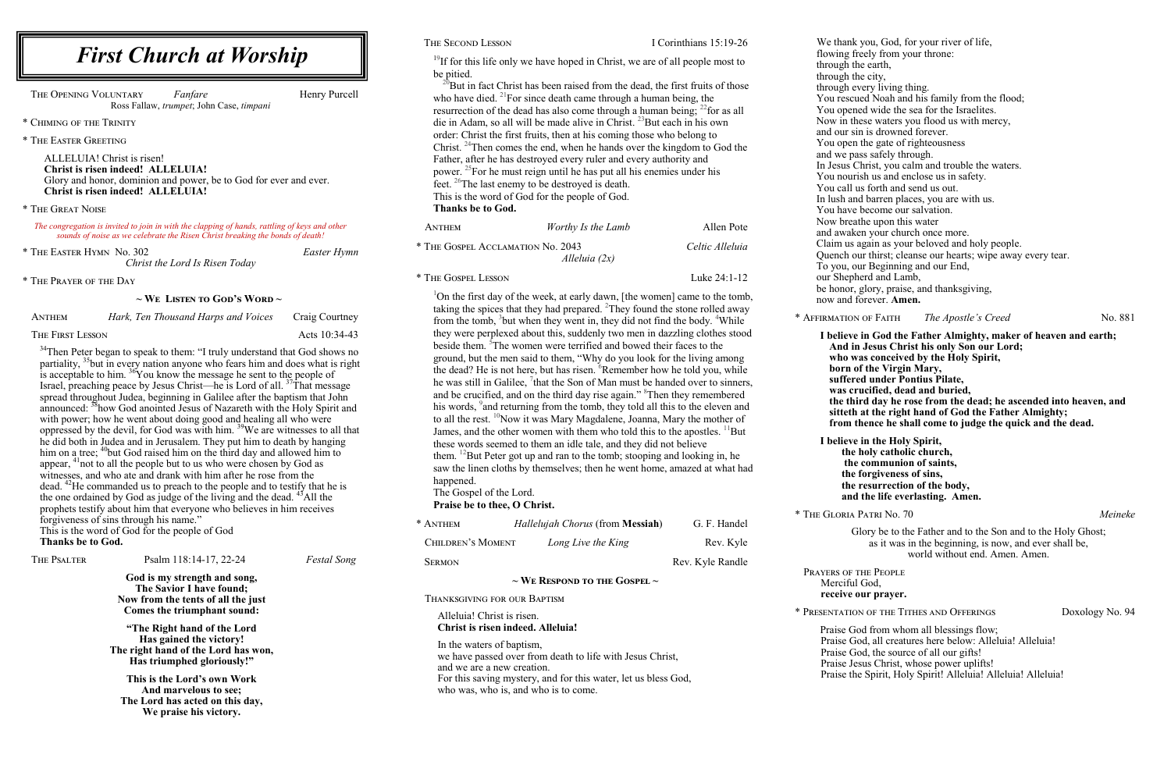<sup>19</sup>If for this life only we have hoped in Christ, we are of all people most to be pitied.

 $2^{20}$ But in fact Christ has been raised from the dead, the first fruits of those who have died. <sup>21</sup>For since death came through a human being, the resurrection of the dead has also come through a human being;  $^{22}$  for as all die in Adam, so all will be made alive in Christ.  $^{23}$ But each in his own order: Christ the first fruits, then at his coming those who belong to Christ. <sup>24</sup>Then comes the end, when he hands over the kingdom to God the Father, after he has destroyed every ruler and every authority and power. <sup>25</sup>For he must reign until he has put all his enemies under his feet. <sup>26</sup>The last enemy to be destroyed is death. This is the word of God for the people of God. **Thanks be to God.**

| ANTHEM                                               | Worthy Is the Lamb | Allen Pote      |
|------------------------------------------------------|--------------------|-----------------|
| * THE GOSPEL ACCLAMATION No. 2043<br>Alleluia $(2x)$ |                    | Celtic Alleluia |
| * THE GOSPEL LESSON                                  |                    | Luke 24:1-12    |

<sup>1</sup>On the first day of the week, at early dawn, [the women] came to the tomb, taking the spices that they had prepared. <sup>2</sup>They found the stone rolled away from the tomb, <sup>3</sup>but when they went in, they did not find the body. <sup>4</sup>While they were perplexed about this, suddenly two men in dazzling clothes stood beside them. <sup>5</sup>The women were terrified and bowed their faces to the ground, but the men said to them, "Why do you look for the living among the dead? He is not here, but has risen. <sup>6</sup>Remember how he told you, while he was still in Galilee,  ${}^{7}$ that the Son of Man must be handed over to sinners, and be crucified, and on the third day rise again." <sup>8</sup>Then they remembered his words, <sup>9</sup> and returning from the tomb, they told all this to the eleven and to all the rest. <sup>10</sup>Now it was Mary Magdalene, Joanna, Mary the mother of James, and the other women with them who told this to the apostles.  $^{11}$ But these words seemed to them an idle tale, and they did not believe them. <sup>12</sup>But Peter got up and ran to the tomb; stooping and looking in, he saw the linen cloths by themselves; then he went home, amazed at what had happened.

The Gospel of the Lord. **Praise be to thee, O Christ.**

| * ANTHEM                               | Hallelujah Chorus (from <b>Messiah</b> ) | G. F. Handel     |  |
|----------------------------------------|------------------------------------------|------------------|--|
| CHILDREN'S MOMENT                      | Long Live the King                       | Rev. Kyle        |  |
| <b>SERMON</b>                          |                                          | Rev. Kyle Randle |  |
| $\sim$ We Respond to the Gospel $\sim$ |                                          |                  |  |
|                                        |                                          |                  |  |

THE OPENING VOLUNTARY *Fanfare* Henry Purcell Ross Fallaw, *trumpet*; John Case, *timpani*

 $34$ Then Peter began to speak to them: "I truly understand that God shows no partiality,  $35$  but in every nation anyone who fears him and does what is right is acceptable to him.  $\frac{36}{3}$ You know the message he sent to the people of Israel, preaching peace by Jesus Christ—he is Lord of all.  $37\text{Tha}t$  message spread throughout Judea, beginning in Galilee after the baptism that John announced: <sup>38</sup>how God anointed Jesus of Nazareth with the Holy Spirit and with power; how he went about doing good and healing all who were oppressed by the devil, for God was with him. <sup>39</sup>We are witnesses to all that he did both in Judea and in Jerusalem. They put him to death by hanging him on a tree; <sup>40</sup>but God raised him on the third day and allowed him to appear, <sup>41</sup>not to all the people but to us who were chosen by God as witnesses, and who ate and drank with him after he rose from the dead. <sup>42</sup>He commanded us to preach to the people and to testify that he is the one ordained by God as judge of the living and the dead.  $43$ All the prophets testify about him that everyone who believes in him receives forgiveness of sins through his name." This is the word of God for the people of God **Thanks be to God.**

We thank you, God, for your river of life, flowing freely from your throne: through the earth, through the city, through every living thing. You rescued Noah and his family from the flood; You opened wide the sea for the Israelites. Now in these waters you flood us with mercy, and our sin is drowned forever. You open the gate of righteousness and we pass safely through. In Jesus Christ, you calm and trouble the waters. You nourish us and enclose us in safety. You call us forth and send us out. In lush and barren places, you are with us. You have become our salvation. Now breathe upon this water and awaken your church once more. Claim us again as your beloved and holy people. Quench our thirst; cleanse our hearts; wipe away every tear. To you, our Beginning and our End, our Shepherd and Lamb, be honor, glory, praise, and thanksgiving, now and forever. **Amen.** \* Affirmation of Faith *The Apostle's Creed* No. 881 **in God the Father Almighty, maker of heaven and earth; Jesus Christ his only Son our Lord;** as conceived by the Holy Spirit, **born of the Virgin Mary, suffered under Pontius Pilate, was crucified, dead and buried, the the third dead: the ascended into heaven, and** at the right hand of God the Father Almighty; **from thence he shall come to judge the quick and the dead. I believe in the Holy Spirit, the holy catholic church, the communion of saints, the forgiveness of sins, the resurrection of the body, and the life everlasting. Amen.**  \* The Gloria Patri No. 70 *Meineke*

| I believe |
|-----------|
| And in    |
| who w     |
| born o    |
| suffere   |
| was cr    |
| the thi   |
| sitteth   |
| from t    |
|           |

Glory be to the Father and to the Son and to the Holy Ghost; as it was in the beginning, is now, and ever shall be, world without end. Amen. Amen.

# Prayers of the People Merciful God,

**receive our prayer.**

\* Presentation of the Tithes and Offerings Doxology No. 94

Praise God from whom all blessings flow; Praise God, all creatures here below: Alleluia! Alleluia! Praise God, the source of all our gifts! Praise Jesus Christ, whose power uplifts! Praise the Spirit, Holy Spirit! Alleluia! Alleluia! Alleluia!

| THE PSALTER                                                                                  | Psalm 118:14-17, 22-24                                    | <b>Festal Song</b> | <b>SERMON</b>                                                                                                        | Rev. Kyle Rand                         |
|----------------------------------------------------------------------------------------------|-----------------------------------------------------------|--------------------|----------------------------------------------------------------------------------------------------------------------|----------------------------------------|
|                                                                                              | God is my strength and song,<br>The Savior I have found;  |                    |                                                                                                                      | $\sim$ We Respond to the Gospel $\sim$ |
|                                                                                              | Now from the tents of all the just                        |                    | THANKSGIVING FOR OUR BAPTISM                                                                                         |                                        |
|                                                                                              | Comes the triumphant sound:                               |                    | Alleluia! Christ is risen.                                                                                           |                                        |
|                                                                                              | "The Right hand of the Lord"                              |                    | Christ is risen indeed. Alleluia!                                                                                    |                                        |
| Has gained the victory!<br>The right hand of the Lord has won,<br>Has triumphed gloriously!" |                                                           |                    | In the waters of baptism,<br>we have passed over from death to life with Jesus Christ,<br>and we are a new creation. |                                        |
|                                                                                              | This is the Lord's own Work                               |                    | For this saving mystery, and for this water, let us bless God,                                                       |                                        |
|                                                                                              | And marvelous to see;                                     |                    | who was, who is, and who is to come.                                                                                 |                                        |
|                                                                                              | The Lord has acted on this day,<br>We praise his victory. |                    |                                                                                                                      |                                        |

### THE SECOND LESSON I Corinthians 15:19-26

\* Chiming of the Trinity

\* The Easter Greeting

ALLELUIA! Christ is risen! **Christ is risen indeed! ALLELUIA!** Glory and honor, dominion and power, be to God for ever and ever. **Christ is risen indeed! ALLELUIA!**

#### \* The Great Noise

*The congregation is invited to join in with the clapping of hands, rattling of keys and other sounds of noise as we celebrate the Risen Christ breaking the bonds of death!*

\* The Easter Hymn No. 302 *Easter Hymn Christ the Lord Is Risen Today*

\* The Prayer of the Day

**~ We Listen to God's Word ~**

| ANTHEM           | Hark, Ten Thousand Harps and Voices | Craig Courtney |
|------------------|-------------------------------------|----------------|
| The First Lesson |                                     | Acts 10:34-43  |

# *First Church at Worship*